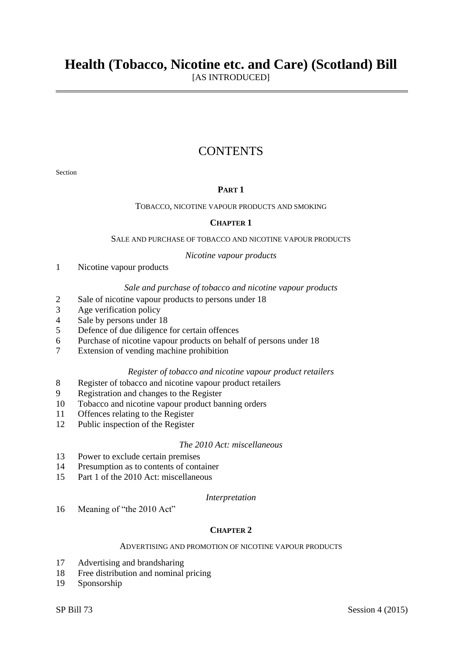# **CONTENTS**

Section

# **PART 1**

# TOBACCO, NICOTINE VAPOUR PRODUCTS AND SMOKING

# **CHAPTER 1**

#### SALE AND PURCHASE OF TOBACCO AND NICOTINE VAPOUR PRODUCTS

#### *Nicotine vapour products*

1 Nicotine vapour products

#### *Sale and purchase of tobacco and nicotine vapour products*

- 2 Sale of nicotine vapour products to persons under 18
- 3 Age verification policy
- 4 Sale by persons under 18
- 5 Defence of due diligence for certain offences
- 6 Purchase of nicotine vapour products on behalf of persons under 18
- 7 Extension of vending machine prohibition

# *Register of tobacco and nicotine vapour product retailers*

- 8 Register of tobacco and nicotine vapour product retailers
- 9 Registration and changes to the Register
- 10 Tobacco and nicotine vapour product banning orders
- 11 Offences relating to the Register
- 12 Public inspection of the Register

## *The 2010 Act: miscellaneous*

- 13 Power to exclude certain premises
- 14 Presumption as to contents of container
- 15 Part 1 of the 2010 Act: miscellaneous

#### *Interpretation*

16 Meaning of "the 2010 Act"

# **CHAPTER 2**

### ADVERTISING AND PROMOTION OF NICOTINE VAPOUR PRODUCTS

- 17 Advertising and brandsharing
- 18 Free distribution and nominal pricing
- 19 Sponsorship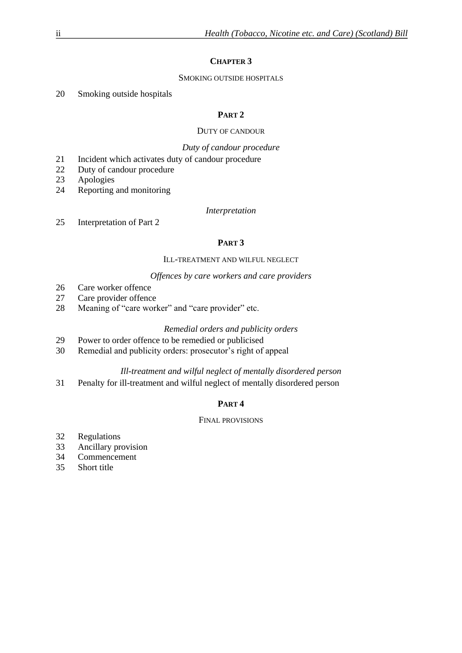# **CHAPTER 3**

# SMOKING OUTSIDE HOSPITALS

20 Smoking outside hospitals

# **PART 2**

# DUTY OF CANDOUR

# *Duty of candour procedure*

- 21 Incident which activates duty of candour procedure
- 22 Duty of candour procedure
- 23 Apologies
- 24 Reporting and monitoring

# *Interpretation*

25 Interpretation of Part 2

# **PART 3**

# ILL-TREATMENT AND WILFUL NEGLECT

# *Offences by care workers and care providers*

- 26 Care worker offence
- 27 Care provider offence
- 28 Meaning of "care worker" and "care provider" etc.

# *Remedial orders and publicity orders*

- 29 Power to order offence to be remedied or publicised
- 30 Remedial and publicity orders: prosecutor's right of appeal

# *Ill-treatment and wilful neglect of mentally disordered person*

31 Penalty for ill-treatment and wilful neglect of mentally disordered person

# **PART 4**

# FINAL PROVISIONS

- 32 Regulations
- 33 Ancillary provision
- 34 Commencement
- 35 Short title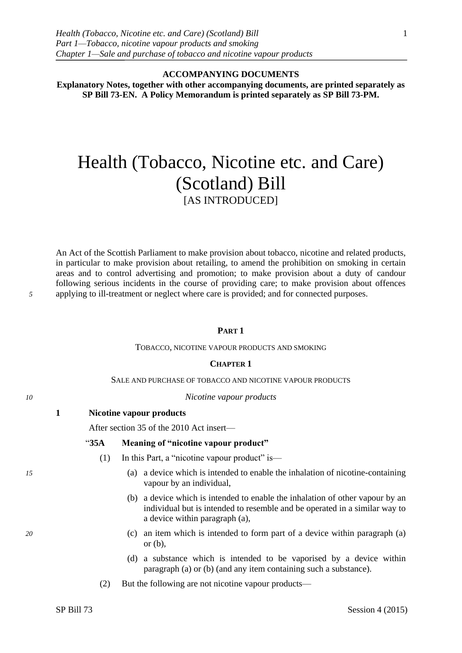**ACCOMPANYING DOCUMENTS**

**Explanatory Notes, together with other accompanying documents, are printed separately as SP Bill 73-EN. A Policy Memorandum is printed separately as SP Bill 73-PM.**

# Health (Tobacco, Nicotine etc. and Care) (Scotland) Bill [AS INTRODUCED]

An Act of the Scottish Parliament to make provision about tobacco, nicotine and related products, in particular to make provision about retailing, to amend the prohibition on smoking in certain areas and to control advertising and promotion; to make provision about a duty of candour following serious incidents in the course of providing care; to make provision about offences *5* applying to ill-treatment or neglect where care is provided; and for connected purposes.

## **PART 1**

#### TOBACCO, NICOTINE VAPOUR PRODUCTS AND SMOKING

#### **CHAPTER 1**

#### SALE AND PURCHASE OF TOBACCO AND NICOTINE VAPOUR PRODUCTS

#### *10 Nicotine vapour products*

**1 Nicotine vapour products**

After section 35 of the 2010 Act insert—

#### "**35A Meaning of "nicotine vapour product"**

- (1) In this Part, a "nicotine vapour product" is—
- *15* (a) a device which is intended to enable the inhalation of nicotine-containing vapour by an individual,
	- (b) a device which is intended to enable the inhalation of other vapour by an individual but is intended to resemble and be operated in a similar way to a device within paragraph (a),
- *20* (c) an item which is intended to form part of a device within paragraph (a) or (b),
	- (d) a substance which is intended to be vaporised by a device within paragraph (a) or (b) (and any item containing such a substance).
	- (2) But the following are not nicotine vapour products—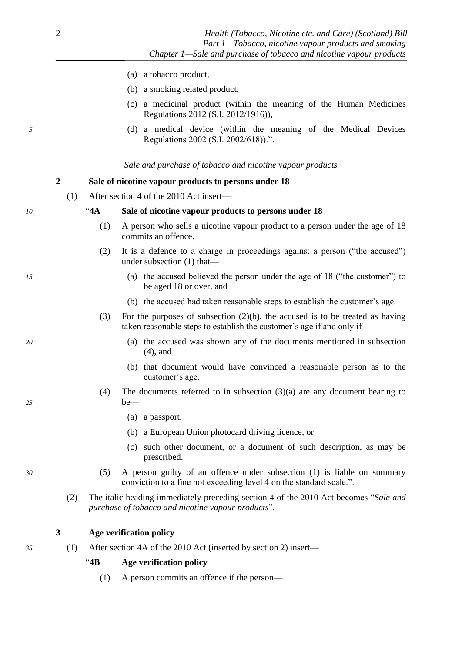- (a) a tobacco product,
- (b) a smoking related product,
- (c) a medicinal product (within the meaning of the Human Medicines Regulations 2012 (S.I. 2012/1916)),
- <span id="page-3-0"></span>*5* (d) a medical device (within the meaning of the Medical Devices Regulations 2002 (S.I. 2002/618)).".

*Sale and purchase of tobacco and nicotine vapour products*

# **2 Sale of nicotine vapour products to persons under 18**

(1) After section 4 of the 2010 Act insert—

*10* "**4A Sale of nicotine vapour products to persons under 18**

- (1) A person who sells a nicotine vapour product to a person under the age of 18 commits an offence.
- (2) It is a defence to a charge in proceedings against a person ("the accused") under subsection (1) that—
- *15* (a) the accused believed the person under the age of 18 ("the customer") to be aged 18 or over, and
	- (b) the accused had taken reasonable steps to establish the customer's age.
	- (3) For the purposes of subsection (2)(b), the accused is to be treated as having taken reasonable steps to establish the customer's age if and only if—
- *20* (a) the accused was shown any of the documents mentioned in subsection (4), and
	- (b) that document would have convinced a reasonable person as to the customer's age.
- (4) The documents referred to in subsection  $(3)(a)$  are any document bearing to *25* be—
	- (a) a passport,
	- (b) a European Union photocard driving licence, or
	- (c) such other document, or a document of such description, as may be prescribed.
- *30* (5) A person guilty of an offence under subsection (1) is liable on summary conviction to a fine not exceeding level 4 on the standard scale.".
	- (2) The italic heading immediately preceding section 4 of the 2010 Act becomes "*Sale and purchase of tobacco and nicotine vapour products*".

# **3 Age verification policy**

*35* (1) After section 4A of the 2010 Act (inserted by section [2\)](#page-3-0) insert—

"**4B Age verification policy**

(1) A person commits an offence if the person—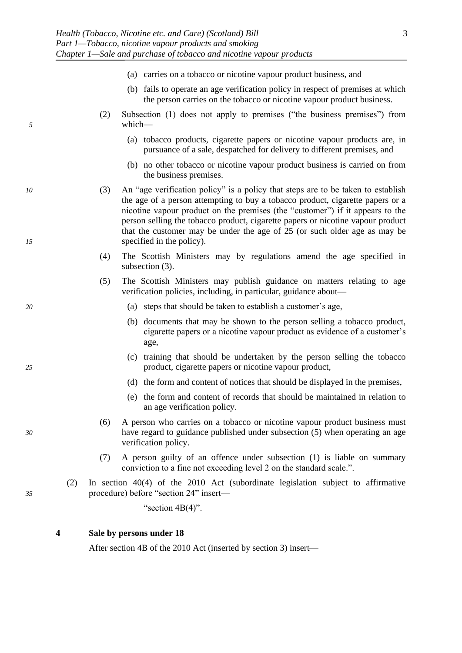- <span id="page-4-0"></span>(a) carries on a tobacco or nicotine vapour product business, and (b) fails to operate an age verification policy in respect of premises at which the person carries on the tobacco or nicotine vapour product business. (2) Subsection (1) does not apply to premises ("the business premises") from *5* which— (a) tobacco products, cigarette papers or nicotine vapour products are, in pursuance of a sale, despatched for delivery to different premises, and (b) no other tobacco or nicotine vapour product business is carried on from the business premises. *10* (3) An "age verification policy" is a policy that steps are to be taken to establish the age of a person attempting to buy a tobacco product, cigarette papers or a nicotine vapour product on the premises (the "customer") if it appears to the person selling the tobacco product, cigarette papers or nicotine vapour product that the customer may be under the age of 25 (or such older age as may be
	- (4) The Scottish Ministers may by regulations amend the age specified in subsection  $(3)$ .
	- (5) The Scottish Ministers may publish guidance on matters relating to age verification policies, including, in particular, guidance about—
- *20* (a) steps that should be taken to establish a customer's age,
	- (b) documents that may be shown to the person selling a tobacco product, cigarette papers or a nicotine vapour product as evidence of a customer's age,
- (c) training that should be undertaken by the person selling the tobacco *25* product, cigarette papers or nicotine vapour product,
	- (d) the form and content of notices that should be displayed in the premises,
	- (e) the form and content of records that should be maintained in relation to an age verification policy.
- (6) A person who carries on a tobacco or nicotine vapour product business must *30* have regard to guidance published under subsection (5) when operating an age verification policy.
	- (7) A person guilty of an offence under subsection (1) is liable on summary conviction to a fine not exceeding level 2 on the standard scale.".
- (2) In section 40(4) of the 2010 Act (subordinate legislation subject to affirmative *35* procedure) before "section 24" insert—

"section  $4B(4)$ ".

# **4 Sale by persons under 18**

*15* specified in the policy).

After section 4B of the 2010 Act (inserted by section [3\)](#page-3-0) insert—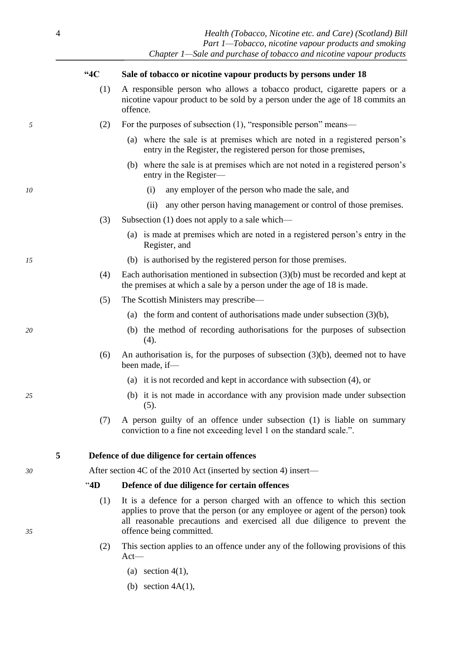| $\overline{4}$ |      |                                                | Health (Tobacco, Nicotine etc. and Care) (Scotland) Bill<br>Part 1-Tobacco, nicotine vapour products and smoking<br>Chapter 1—Sale and purchase of tobacco and nicotine vapour products                                                                               |  |  |
|----------------|------|------------------------------------------------|-----------------------------------------------------------------------------------------------------------------------------------------------------------------------------------------------------------------------------------------------------------------------|--|--|
|                | "4C  |                                                | Sale of tobacco or nicotine vapour products by persons under 18                                                                                                                                                                                                       |  |  |
|                | (1)  | offence.                                       | A responsible person who allows a tobacco product, cigarette papers or a<br>nicotine vapour product to be sold by a person under the age of 18 commits an                                                                                                             |  |  |
| 5              | (2)  |                                                | For the purposes of subsection (1), "responsible person" means—                                                                                                                                                                                                       |  |  |
|                |      |                                                | (a) where the sale is at premises which are noted in a registered person's<br>entry in the Register, the registered person for those premises,                                                                                                                        |  |  |
|                |      |                                                | (b) where the sale is at premises which are not noted in a registered person's<br>entry in the Register-                                                                                                                                                              |  |  |
| 10             |      |                                                | any employer of the person who made the sale, and<br>(i)                                                                                                                                                                                                              |  |  |
|                |      |                                                | any other person having management or control of those premises.<br>(ii)                                                                                                                                                                                              |  |  |
|                | (3)  | Subsection (1) does not apply to a sale which— |                                                                                                                                                                                                                                                                       |  |  |
|                |      |                                                | (a) is made at premises which are noted in a registered person's entry in the<br>Register, and                                                                                                                                                                        |  |  |
| 15             |      |                                                | (b) is authorised by the registered person for those premises.                                                                                                                                                                                                        |  |  |
|                | (4)  |                                                | Each authorisation mentioned in subsection $(3)(b)$ must be recorded and kept at<br>the premises at which a sale by a person under the age of 18 is made.                                                                                                             |  |  |
|                | (5)  | The Scottish Ministers may prescribe—          |                                                                                                                                                                                                                                                                       |  |  |
|                |      |                                                | (a) the form and content of authorisations made under subsection $(3)(b)$ ,                                                                                                                                                                                           |  |  |
| 20             |      |                                                | (b) the method of recording authorisations for the purposes of subsection<br>(4).                                                                                                                                                                                     |  |  |
|                | (6)  |                                                | An authorisation is, for the purposes of subsection $(3)(b)$ , deemed not to have<br>been made, if-                                                                                                                                                                   |  |  |
|                |      |                                                | (a) it is not recorded and kept in accordance with subsection (4), or                                                                                                                                                                                                 |  |  |
| 25             |      |                                                | (b) it is not made in accordance with any provision made under subsection<br>(5).                                                                                                                                                                                     |  |  |
|                | (7)  |                                                | A person guilty of an offence under subsection (1) is liable on summary<br>conviction to a fine not exceeding level 1 on the standard scale.".                                                                                                                        |  |  |
| 5              |      |                                                | Defence of due diligence for certain offences                                                                                                                                                                                                                         |  |  |
| 30             |      |                                                | After section 4C of the 2010 Act (inserted by section 4) insert—                                                                                                                                                                                                      |  |  |
|                | "4D" |                                                | Defence of due diligence for certain offences                                                                                                                                                                                                                         |  |  |
| 35             | (1)  |                                                | It is a defence for a person charged with an offence to which this section<br>applies to prove that the person (or any employee or agent of the person) took<br>all reasonable precautions and exercised all due diligence to prevent the<br>offence being committed. |  |  |
|                | (2)  | $Act-$                                         | This section applies to an offence under any of the following provisions of this                                                                                                                                                                                      |  |  |
|                |      |                                                | (a) section $4(1)$ ,                                                                                                                                                                                                                                                  |  |  |
|                |      |                                                | (b) section $4A(1)$ ,                                                                                                                                                                                                                                                 |  |  |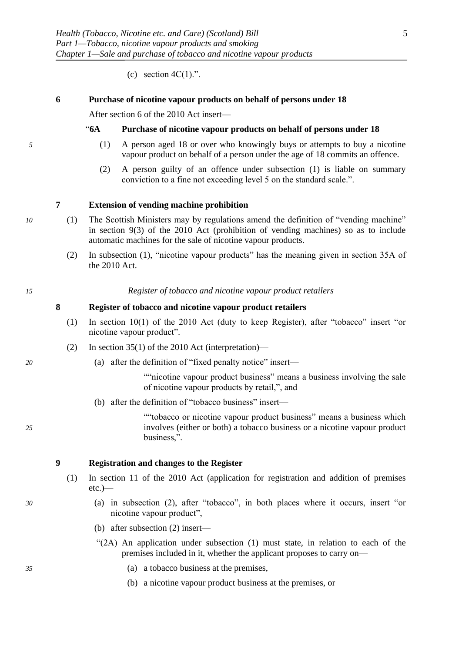(c) section  $4C(1)$ .".

# <span id="page-6-0"></span>**6 Purchase of nicotine vapour products on behalf of persons under 18**

After section 6 of the 2010 Act insert—

#### "**6A Purchase of nicotine vapour products on behalf of persons under 18**

- *5* (1) A person aged 18 or over who knowingly buys or attempts to buy a nicotine vapour product on behalf of a person under the age of 18 commits an offence.
	- (2) A person guilty of an offence under subsection (1) is liable on summary conviction to a fine not exceeding level 5 on the standard scale.".

#### **7 Extension of vending machine prohibition**

- *10* (1) The Scottish Ministers may by regulations amend the definition of "vending machine" in section 9(3) of the 2010 Act (prohibition of vending machines) so as to include automatic machines for the sale of nicotine vapour products.
	- (2) In subsection [\(1\),](#page-6-0) "nicotine vapour products" has the meaning given in section 35A of the 2010 Act.

*15 Register of tobacco and nicotine vapour product retailers*

#### **8 Register of tobacco and nicotine vapour product retailers**

- (1) In section 10(1) of the 2010 Act (duty to keep Register), after "tobacco" insert "or nicotine vapour product".
- (2) In section 35(1) of the 2010 Act (interpretation)—
- *20* (a) after the definition of "fixed penalty notice" insert—

""nicotine vapour product business" means a business involving the sale of nicotine vapour products by retail,", and

(b) after the definition of "tobacco business" insert—

""tobacco or nicotine vapour product business" means a business which *25* involves (either or both) a tobacco business or a nicotine vapour product business,".

# **9 Registration and changes to the Register**

- (1) In section 11 of the 2010 Act (application for registration and addition of premises etc.)—
- *30* (a) in subsection (2), after "tobacco", in both places where it occurs, insert "or nicotine vapour product",
	- (b) after subsection (2) insert—
	- "(2A) An application under subsection (1) must state, in relation to each of the premises included in it, whether the applicant proposes to carry on—
- *35* (a) a tobacco business at the premises,
	- (b) a nicotine vapour product business at the premises, or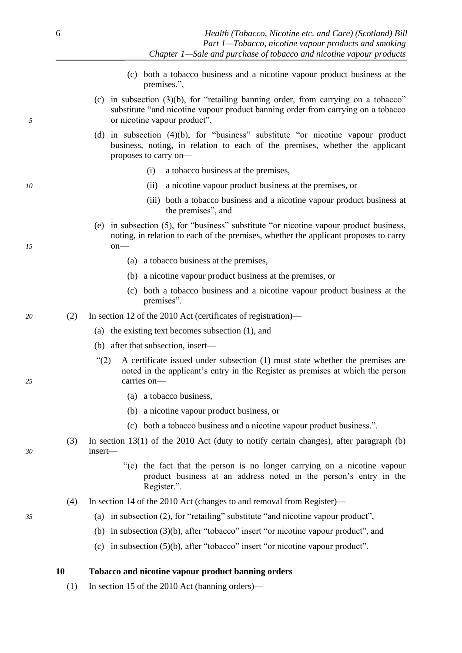- (c) both a tobacco business and a nicotine vapour product business at the premises.",
- (c) in subsection  $(3)(b)$ , for "retailing banning order, from carrying on a tobacco" substitute "and nicotine vapour product banning order from carrying on a tobacco *5* or nicotine vapour product",
	- (d) in subsection (4)(b), for "business" substitute "or nicotine vapour product business, noting, in relation to each of the premises, whether the applicant proposes to carry on—
		- (i) a tobacco business at the premises,
- *10* (ii) a nicotine vapour product business at the premises, or
	- (iii) both a tobacco business and a nicotine vapour product business at the premises", and
- (e) in subsection (5), for "business" substitute "or nicotine vapour product business, noting, in relation to each of the premises, whether the applicant proposes to carry *15* on—
	- (a) a tobacco business at the premises,
	- (b) a nicotine vapour product business at the premises, or
	- (c) both a tobacco business and a nicotine vapour product business at the premises".
- *20* (2) In section 12 of the 2010 Act (certificates of registration)—
	- (a) the existing text becomes subsection (1), and
	- (b) after that subsection, insert—
- "(2) A certificate issued under subsection (1) must state whether the premises are noted in the applicant's entry in the Register as premises at which the person *25* carries on—
	- (a) a tobacco business,
	- (b) a nicotine vapour product business, or
	- (c) both a tobacco business and a nicotine vapour product business.".
- (3) In section 13(1) of the 2010 Act (duty to notify certain changes), after paragraph (b) *30* insert—
	- "(c) the fact that the person is no longer carrying on a nicotine vapour product business at an address noted in the person's entry in the Register.".
	- (4) In section 14 of the 2010 Act (changes to and removal from Register)—
- *35* (a) in subsection (2), for "retailing" substitute "and nicotine vapour product",
	- (b) in subsection (3)(b), after "tobacco" insert "or nicotine vapour product", and
	- (c) in subsection (5)(b), after "tobacco" insert "or nicotine vapour product".

**10 Tobacco and nicotine vapour product banning orders**

(1) In section 15 of the 2010 Act (banning orders)—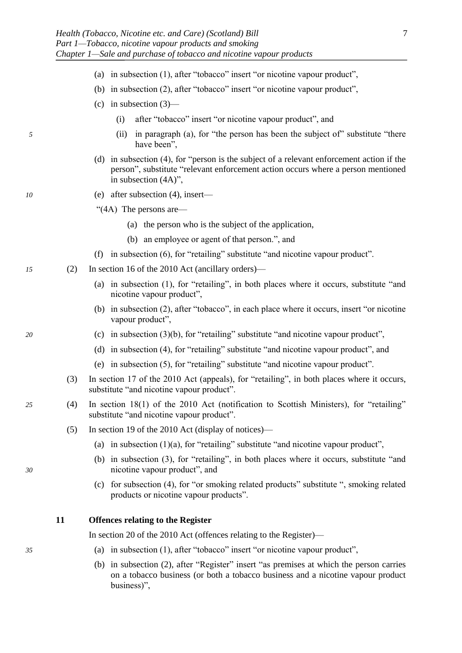- (a) in subsection (1), after "tobacco" insert "or nicotine vapour product",
- (b) in subsection (2), after "tobacco" insert "or nicotine vapour product",
- (c) in subsection (3)—
	- (i) after "tobacco" insert "or nicotine vapour product", and
- *5* (ii) in paragraph (a), for "the person has been the subject of" substitute "there have been",
	- (d) in subsection (4), for "person is the subject of a relevant enforcement action if the person", substitute "relevant enforcement action occurs where a person mentioned in subsection (4A)",
- *10* (e) after subsection (4), insert—

"(4A) The persons are—

- (a) the person who is the subject of the application,
- (b) an employee or agent of that person.", and
- (f) in subsection (6), for "retailing" substitute "and nicotine vapour product".
- *15* (2) In section 16 of the 2010 Act (ancillary orders)—
	- (a) in subsection (1), for "retailing", in both places where it occurs, substitute "and nicotine vapour product",
	- (b) in subsection (2), after "tobacco", in each place where it occurs, insert "or nicotine vapour product",
- *20* (c) in subsection (3)(b), for "retailing" substitute "and nicotine vapour product",
	- (d) in subsection (4), for "retailing" substitute "and nicotine vapour product", and
	- (e) in subsection (5), for "retailing" substitute "and nicotine vapour product".
	- (3) In section 17 of the 2010 Act (appeals), for "retailing", in both places where it occurs, substitute "and nicotine vapour product".
- *25* (4) In section 18(1) of the 2010 Act (notification to Scottish Ministers), for "retailing" substitute "and nicotine vapour product".
	- (5) In section 19 of the 2010 Act (display of notices)—
		- (a) in subsection  $(1)(a)$ , for "retailing" substitute "and nicotine vapour product",
- (b) in subsection (3), for "retailing", in both places where it occurs, substitute "and *30* nicotine vapour product", and
	- (c) for subsection (4), for "or smoking related products" substitute ", smoking related products or nicotine vapour products".

# **11 Offences relating to the Register**

In section 20 of the 2010 Act (offences relating to the Register)—

- *35* (a) in subsection (1), after "tobacco" insert "or nicotine vapour product",
	- (b) in subsection (2), after "Register" insert "as premises at which the person carries on a tobacco business (or both a tobacco business and a nicotine vapour product business)",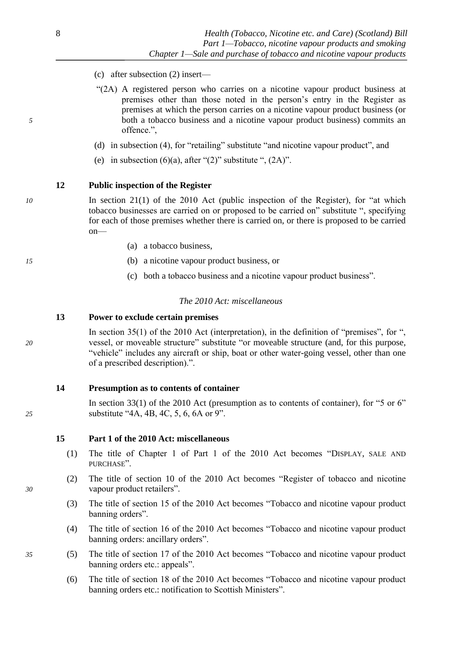- (c) after subsection (2) insert—
- "(2A) A registered person who carries on a nicotine vapour product business at premises other than those noted in the person's entry in the Register as premises at which the person carries on a nicotine vapour product business (or *5* both a tobacco business and a nicotine vapour product business) commits an offence.",
	- (d) in subsection (4), for "retailing" substitute "and nicotine vapour product", and
	- (e) in subsection  $(6)(a)$ , after " $(2)$ " substitute ",  $(2A)$ ".

# **12 Public inspection of the Register**

*10* In section 21(1) of the 2010 Act (public inspection of the Register), for "at which tobacco businesses are carried on or proposed to be carried on" substitute ", specifying for each of those premises whether there is carried on, or there is proposed to be carried on—

- (a) a tobacco business,
- *15* (b) a nicotine vapour product business, or
	- (c) both a tobacco business and a nicotine vapour product business".

# *The 2010 Act: miscellaneous*

# **13 Power to exclude certain premises**

In section 35(1) of the 2010 Act (interpretation), in the definition of "premises", for ", *20* vessel, or moveable structure" substitute "or moveable structure (and, for this purpose, "vehicle" includes any aircraft or ship, boat or other water-going vessel, other than one of a prescribed description).".

# **14 Presumption as to contents of container**

In section 33(1) of the 2010 Act (presumption as to contents of container), for "5 or 6" *25* substitute "4A, 4B, 4C, 5, 6, 6A or 9".

**15 Part 1 of the 2010 Act: miscellaneous**

- (1) The title of Chapter 1 of Part 1 of the 2010 Act becomes "DISPLAY, SALE AND PURCHASE".
- (2) The title of section 10 of the 2010 Act becomes "Register of tobacco and nicotine *30* vapour product retailers".
	- (3) The title of section 15 of the 2010 Act becomes "Tobacco and nicotine vapour product banning orders".
	- (4) The title of section 16 of the 2010 Act becomes "Tobacco and nicotine vapour product banning orders: ancillary orders".
- *35* (5) The title of section 17 of the 2010 Act becomes "Tobacco and nicotine vapour product banning orders etc.: appeals".
	- (6) The title of section 18 of the 2010 Act becomes "Tobacco and nicotine vapour product banning orders etc.: notification to Scottish Ministers".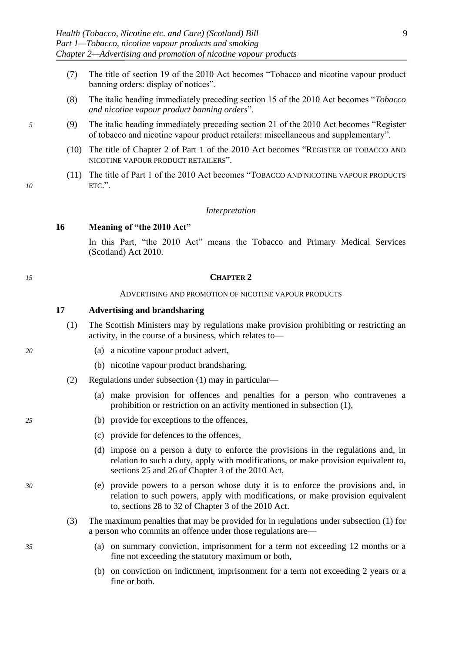- <span id="page-10-0"></span>(7) The title of section 19 of the 2010 Act becomes "Tobacco and nicotine vapour product banning orders: display of notices".
- (8) The italic heading immediately preceding section 15 of the 2010 Act becomes "*Tobacco and nicotine vapour product banning orders*".
- *5* (9) The italic heading immediately preceding section 21 of the 2010 Act becomes "Register of tobacco and nicotine vapour product retailers: miscellaneous and supplementary".
	- (10) The title of Chapter 2 of Part 1 of the 2010 Act becomes "REGISTER OF TOBACCO AND NICOTINE VAPOUR PRODUCT RETAILERS".
- (11) The title of Part 1 of the 2010 Act becomes "TOBACCO AND NICOTINE VAPOUR PRODUCTS *10* ETC.".

#### *Interpretation*

### **16 Meaning of "the 2010 Act"**

In this Part, "the 2010 Act" means the Tobacco and Primary Medical Services (Scotland) Act 2010.

#### *15* **CHAPTER 2**

#### ADVERTISING AND PROMOTION OF NICOTINE VAPOUR PRODUCTS

# **17 Advertising and brandsharing**

- (1) The Scottish Ministers may by regulations make provision prohibiting or restricting an activity, in the course of a business, which relates to—
- *20* (a) a nicotine vapour product advert,
	- (b) nicotine vapour product brandsharing.
	- (2) Regulations under subsection [\(1\)](#page-10-0) may in particular—
		- (a) make provision for offences and penalties for a person who contravenes a prohibition or restriction on an activity mentioned in subsection [\(1\),](#page-10-0)
- *25* (b) provide for exceptions to the offences,
	- (c) provide for defences to the offences,
	- (d) impose on a person a duty to enforce the provisions in the regulations and, in relation to such a duty, apply with modifications, or make provision equivalent to, sections 25 and 26 of Chapter 3 of the 2010 Act,
- *30* (e) provide powers to a person whose duty it is to enforce the provisions and, in relation to such powers, apply with modifications, or make provision equivalent to, sections 28 to 32 of Chapter 3 of the 2010 Act.
	- (3) The maximum penalties that may be provided for in regulations under subsection [\(1\)](#page-10-0) for a person who commits an offence under those regulations are—
- *35* (a) on summary conviction, imprisonment for a term not exceeding 12 months or a fine not exceeding the statutory maximum or both,
	- (b) on conviction on indictment, imprisonment for a term not exceeding 2 years or a fine or both.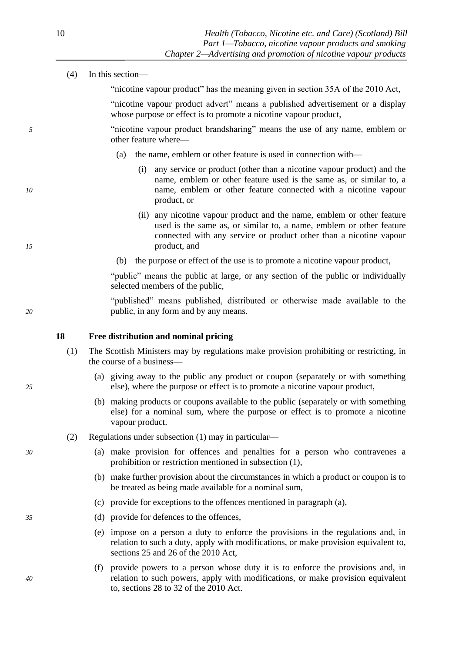<span id="page-11-0"></span>

|    | (4) | In this section-                                                                                                                                                                                                                    |
|----|-----|-------------------------------------------------------------------------------------------------------------------------------------------------------------------------------------------------------------------------------------|
|    |     | "nicotine vapour product" has the meaning given in section 35A of the 2010 Act,                                                                                                                                                     |
|    |     | "nicotine vapour product advert" means a published advertisement or a display<br>whose purpose or effect is to promote a nicotine vapour product,                                                                                   |
| 5  |     | "nicotine vapour product brandsharing" means the use of any name, emblem or<br>other feature where-                                                                                                                                 |
|    |     | the name, emblem or other feature is used in connection with—<br>(a)                                                                                                                                                                |
| 10 |     | (i) any service or product (other than a nicotine vapour product) and the<br>name, emblem or other feature used is the same as, or similar to, a<br>name, emblem or other feature connected with a nicotine vapour<br>product, or   |
| 15 |     | (ii) any nicotine vapour product and the name, emblem or other feature<br>used is the same as, or similar to, a name, emblem or other feature<br>connected with any service or product other than a nicotine vapour<br>product, and |
|    |     | the purpose or effect of the use is to promote a nicotine vapour product,<br>(b)                                                                                                                                                    |
|    |     | "public" means the public at large, or any section of the public or individually<br>selected members of the public,                                                                                                                 |
| 20 |     | "published" means published, distributed or otherwise made available to the<br>public, in any form and by any means.                                                                                                                |
|    | 18  | Free distribution and nominal pricing                                                                                                                                                                                               |
|    | (1) | The Scottish Ministers may by regulations make provision prohibiting or restricting, in<br>the course of a business—                                                                                                                |
| 25 |     | (a) giving away to the public any product or coupon (separately or with something<br>else), where the purpose or effect is to promote a nicotine vapour product,                                                                    |
|    |     | (b) making products or coupons available to the public (separately or with something<br>else) for a nominal sum, where the purpose or effect is to promote a nicotine<br>vapour product.                                            |
|    | (2) | Regulations under subsection (1) may in particular—                                                                                                                                                                                 |
| 30 |     | (a) make provision for offences and penalties for a person who contravenes a<br>prohibition or restriction mentioned in subsection (1),                                                                                             |
|    |     | (b) make further provision about the circumstances in which a product or coupon is to<br>be treated as being made available for a nominal sum,                                                                                      |
|    |     | (c) provide for exceptions to the offences mentioned in paragraph (a),                                                                                                                                                              |
| 35 |     | (d) provide for defences to the offences,                                                                                                                                                                                           |

- (e) impose on a person a duty to enforce the provisions in the regulations and, in relation to such a duty, apply with modifications, or make provision equivalent to, sections 25 and 26 of the 2010 Act,
- (f) provide powers to a person whose duty it is to enforce the provisions and, in *40* relation to such powers, apply with modifications, or make provision equivalent to, sections 28 to 32 of the 2010 Act.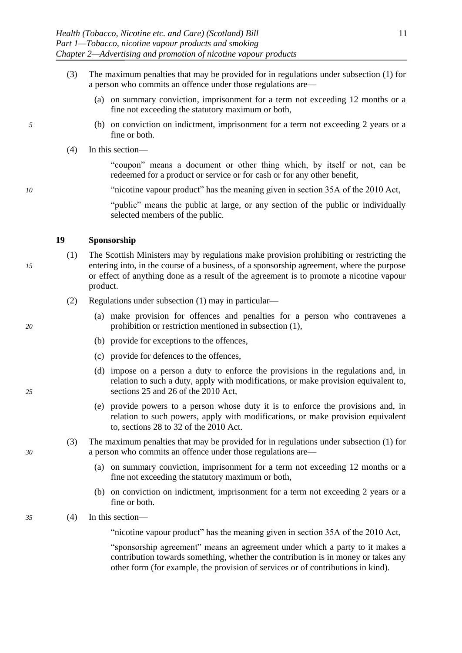- <span id="page-12-0"></span>(3) The maximum penalties that may be provided for in regulations under subsection [\(1\)](#page-11-0) for a person who commits an offence under those regulations are—
	- (a) on summary conviction, imprisonment for a term not exceeding 12 months or a fine not exceeding the statutory maximum or both,
- *5* (b) on conviction on indictment, imprisonment for a term not exceeding 2 years or a fine or both.
	- (4) In this section—

"coupon" means a document or other thing which, by itself or not, can be redeemed for a product or service or for cash or for any other benefit,

*10* "nicotine vapour product" has the meaning given in section 35A of the 2010 Act,

"public" means the public at large, or any section of the public or individually selected members of the public.

#### **19 Sponsorship**

- (1) The Scottish Ministers may by regulations make provision prohibiting or restricting the *15* entering into, in the course of a business, of a sponsorship agreement, where the purpose or effect of anything done as a result of the agreement is to promote a nicotine vapour product.
	- (2) Regulations under subsection [\(1\)](#page-12-0) may in particular—
- (a) make provision for offences and penalties for a person who contravenes a *20* prohibition or restriction mentioned in subsection [\(1\),](#page-12-0)
	- (b) provide for exceptions to the offences,
	- (c) provide for defences to the offences,
- (d) impose on a person a duty to enforce the provisions in the regulations and, in relation to such a duty, apply with modifications, or make provision equivalent to, *25* sections 25 and 26 of the 2010 Act,
	- (e) provide powers to a person whose duty it is to enforce the provisions and, in relation to such powers, apply with modifications, or make provision equivalent to, sections 28 to 32 of the 2010 Act.
- (3) The maximum penalties that may be provided for in regulations under subsection [\(1\)](#page-12-0) for *30* a person who commits an offence under those regulations are—
	- (a) on summary conviction, imprisonment for a term not exceeding 12 months or a fine not exceeding the statutory maximum or both,
	- (b) on conviction on indictment, imprisonment for a term not exceeding 2 years or a fine or both.
- *35* (4) In this section—
	- "nicotine vapour product" has the meaning given in section 35A of the 2010 Act,

"sponsorship agreement" means an agreement under which a party to it makes a contribution towards something, whether the contribution is in money or takes any other form (for example, the provision of services or of contributions in kind).

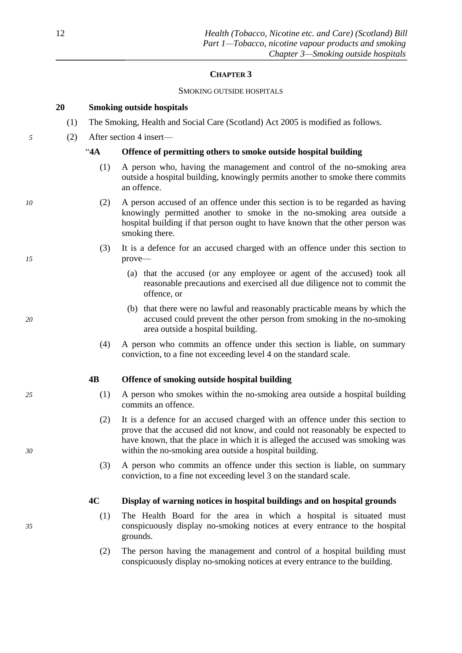# **CHAPTER 3**

# SMOKING OUTSIDE HOSPITALS

# **20 Smoking outside hospitals**

- (1) The Smoking, Health and Social Care (Scotland) Act 2005 is modified as follows.
- *5* (2) After section 4 insert—

# "**4A Offence of permitting others to smoke outside hospital building**

- (1) A person who, having the management and control of the no-smoking area outside a hospital building, knowingly permits another to smoke there commits an offence.
- *10* (2) A person accused of an offence under this section is to be regarded as having knowingly permitted another to smoke in the no-smoking area outside a hospital building if that person ought to have known that the other person was smoking there.
- (3) It is a defence for an accused charged with an offence under this section to *15* prove—
	- (a) that the accused (or any employee or agent of the accused) took all reasonable precautions and exercised all due diligence not to commit the offence, or
- (b) that there were no lawful and reasonably practicable means by which the *20* accused could prevent the other person from smoking in the no-smoking area outside a hospital building.
	- (4) A person who commits an offence under this section is liable, on summary conviction, to a fine not exceeding level 4 on the standard scale.

# **4B Offence of smoking outside hospital building**

- *25* (1) A person who smokes within the no-smoking area outside a hospital building commits an offence.
- (2) It is a defence for an accused charged with an offence under this section to prove that the accused did not know, and could not reasonably be expected to have known, that the place in which it is alleged the accused was smoking was *30* within the no-smoking area outside a hospital building.
	- (3) A person who commits an offence under this section is liable, on summary conviction, to a fine not exceeding level 3 on the standard scale.

# **4C Display of warning notices in hospital buildings and on hospital grounds**

- (1) The Health Board for the area in which a hospital is situated must *35* conspicuously display no-smoking notices at every entrance to the hospital grounds.
	- (2) The person having the management and control of a hospital building must conspicuously display no-smoking notices at every entrance to the building.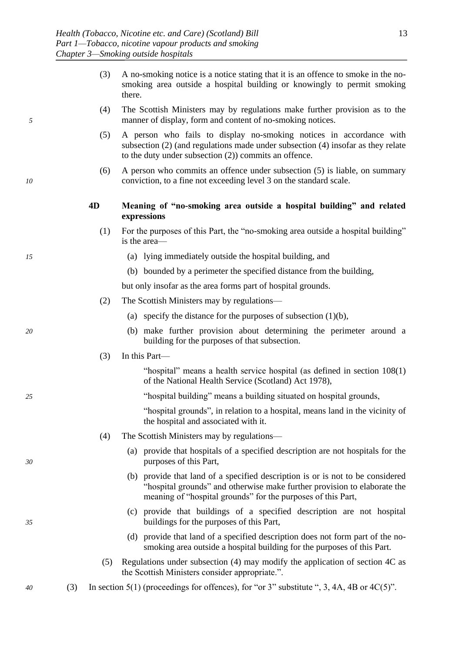- (3) A no-smoking notice is a notice stating that it is an offence to smoke in the nosmoking area outside a hospital building or knowingly to permit smoking there.
- (4) The Scottish Ministers may by regulations make further provision as to the *5* manner of display, form and content of no-smoking notices.
	- (5) A person who fails to display no-smoking notices in accordance with subsection (2) (and regulations made under subsection (4) insofar as they relate to the duty under subsection (2)) commits an offence.
- (6) A person who commits an offence under subsection (5) is liable, on summary *10* conviction, to a fine not exceeding level 3 on the standard scale.
	- **4D Meaning of "no-smoking area outside a hospital building" and related expressions**
		- (1) For the purposes of this Part, the "no-smoking area outside a hospital building" is the area—
- *15* (a) lying immediately outside the hospital building, and
	- (b) bounded by a perimeter the specified distance from the building,

but only insofar as the area forms part of hospital grounds.

- (2) The Scottish Ministers may by regulations—
	- (a) specify the distance for the purposes of subsection  $(1)(b)$ ,
- *20* (b) make further provision about determining the perimeter around a building for the purposes of that subsection.
	- (3) In this Part—
		- "hospital" means a health service hospital (as defined in section 108(1) of the National Health Service (Scotland) Act 1978),
- *25* "hospital building" means a building situated on hospital grounds,
	- "hospital grounds", in relation to a hospital, means land in the vicinity of the hospital and associated with it.
	- (4) The Scottish Ministers may by regulations—
- (a) provide that hospitals of a specified description are not hospitals for the *30* purposes of this Part,
	- (b) provide that land of a specified description is or is not to be considered "hospital grounds" and otherwise make further provision to elaborate the meaning of "hospital grounds" for the purposes of this Part,
- (c) provide that buildings of a specified description are not hospital *35* buildings for the purposes of this Part,
	- (d) provide that land of a specified description does not form part of the nosmoking area outside a hospital building for the purposes of this Part.
	- (5) Regulations under subsection (4) may modify the application of section 4C as the Scottish Ministers consider appropriate.".
- *40* (3) In section 5(1) (proceedings for offences), for "or 3" substitute ", 3, 4A, 4B or 4C(5)".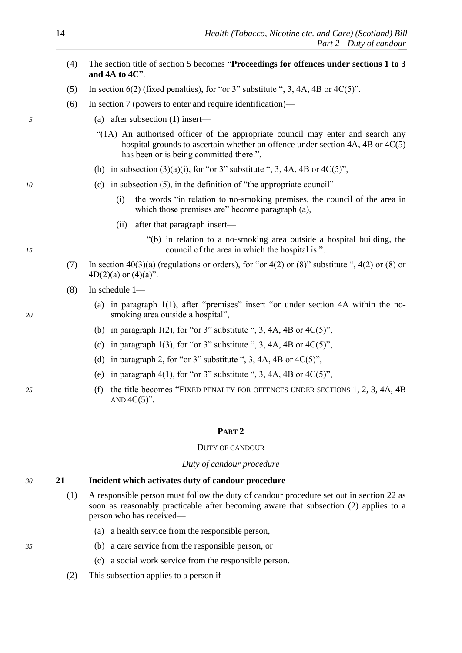- <span id="page-15-0"></span>(4) The section title of section 5 becomes "**Proceedings for offences under sections 1 to 3 and 4A to 4C**".
- (5) In section  $6(2)$  (fixed penalties), for "or 3" substitute ", 3, 4A, 4B or  $4C(5)$ ".
- (6) In section 7 (powers to enter and require identification)—
- *5* (a) after subsection (1) insert—
	- "(1A) An authorised officer of the appropriate council may enter and search any hospital grounds to ascertain whether an offence under section 4A, 4B or  $4C(5)$ has been or is being committed there.",
	- (b) in subsection  $(3)(a)(i)$ , for "or 3" substitute ", 3, 4A, 4B or  $4C(5)$ ".
- *10* (c) in subsection (5), in the definition of "the appropriate council"—
	- (i) the words "in relation to no-smoking premises, the council of the area in which those premises are" become paragraph (a),
	- (ii) after that paragraph insert—
- "(b) in relation to a no-smoking area outside a hospital building, the *15* council of the area in which the hospital is.".
	- (7) In section  $40(3)(a)$  (regulations or orders), for "or  $4(2)$  or  $(8)$ " substitute ",  $4(2)$  or  $(8)$  or  $4D(2)(a)$  or  $(4)(a)$ ".
	- (8) In schedule 1—
- (a) in paragraph 1(1), after "premises" insert "or under section 4A within the no-*20* smoking area outside a hospital",
	- (b) in paragraph 1(2), for "or 3" substitute ", 3, 4A, 4B or  $4C(5)$ ",
	- (c) in paragraph 1(3), for "or 3" substitute ", 3, 4A, 4B or  $4C(5)$ ",
	- (d) in paragraph 2, for "or 3" substitute ", 3, 4A, 4B or  $4C(5)$ ",
	- (e) in paragraph 4(1), for "or 3" substitute ", 3, 4A, 4B or  $4C(5)$ ",
- *25* (f) the title becomes "FIXED PENALTY FOR OFFENCES UNDER SECTIONS 1, 2, 3, 4A, 4B AND  $4C(5)$ ".

#### **PART 2**

#### DUTY OF CANDOUR

*Duty of candour procedure*

# *30* **21 Incident which activates duty of candour procedure**

- (1) A responsible person must follow the duty of candour procedure set out in section [22](#page-16-0) as soon as reasonably practicable after becoming aware that subsection [\(2\)](#page-15-0) applies to a person who has received—
	- (a) a health service from the responsible person,
- *35* (b) a care service from the responsible person, or
	- (c) a social work service from the responsible person.
	- (2) This subsection applies to a person if—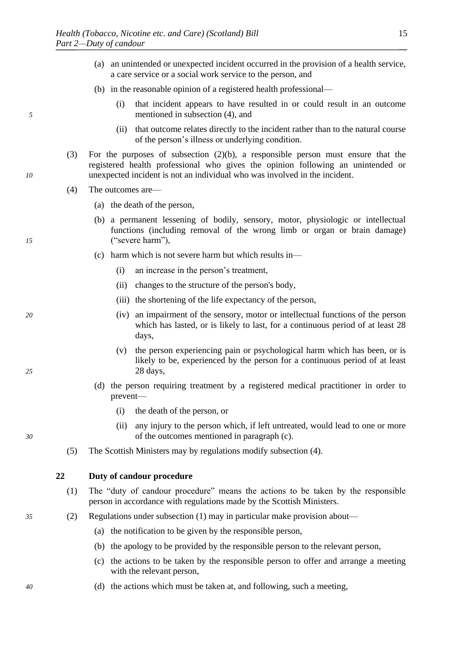- (a) an unintended or unexpected incident occurred in the provision of a health service, a care service or a social work service to the person, and
- (b) in the reasonable opinion of a registered health professional—
- <span id="page-16-0"></span>(i) that incident appears to have resulted in or could result in an outcome *5* mentioned in subsection [\(4\),](#page-16-0) and
	- (ii) that outcome relates directly to the incident rather than to the natural course of the person's illness or underlying condition.
- (3) For the purposes of subsection [\(2\)\(b\),](#page-15-0) a responsible person must ensure that the registered health professional who gives the opinion following an unintended or *10* unexpected incident is not an individual who was involved in the incident.
	- (4) The outcomes are—
		- (a) the death of the person,
- (b) a permanent lessening of bodily, sensory, motor, physiologic or intellectual functions (including removal of the wrong limb or organ or brain damage) *15* ("severe harm"),
	- (c) harm which is not severe harm but which results in—
		- (i) an increase in the person's treatment,
		- (ii) changes to the structure of the person's body,
		- (iii) the shortening of the life expectancy of the person,
- *20* (iv) an impairment of the sensory, motor or intellectual functions of the person which has lasted, or is likely to last, for a continuous period of at least 28 days,
- (v) the person experiencing pain or psychological harm which has been, or is likely to be, experienced by the person for a continuous period of at least *25* 28 days,
	- (d) the person requiring treatment by a registered medical practitioner in order to prevent—
		- (i) the death of the person, or
- (ii) any injury to the person which, if left untreated, would lead to one or more *30* of the outcomes mentioned in paragraph [\(c\).](#page-16-0)
	- (5) The Scottish Ministers may by regulations modify subsection [\(4\).](#page-16-0)

**22 Duty of candour procedure** 

- (1) The "duty of candour procedure" means the actions to be taken by the responsible person in accordance with regulations made by the Scottish Ministers.
- *35* (2) Regulations under subsection [\(1\)](#page-16-0) may in particular make provision about—
	- (a) the notification to be given by the responsible person,
	- (b) the apology to be provided by the responsible person to the relevant person,
	- (c) the actions to be taken by the responsible person to offer and arrange a meeting with the relevant person,
- *40* (d) the actions which must be taken at, and following, such a meeting,

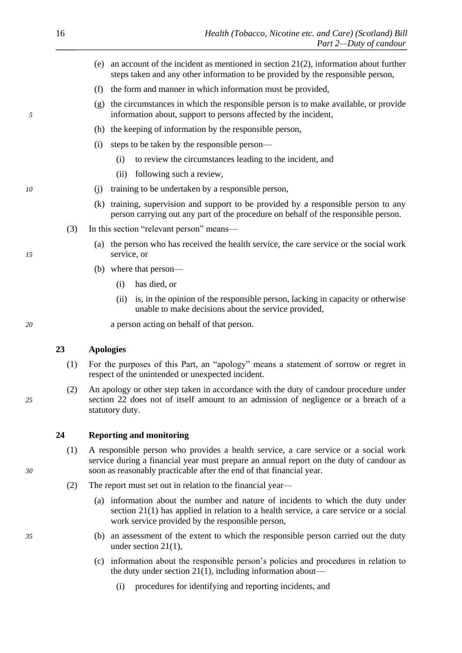- (e) an account of the incident as mentioned in section 21(2), information about further steps taken and any other information to be provided by the responsible person,
- (f) the form and manner in which information must be provided,
- <span id="page-17-0"></span>(g) the circumstances in which the responsible person is to make available, or provide *5* information about, support to persons affected by the incident,
	- (h) the keeping of information by the responsible person,
	- (i) steps to be taken by the responsible person—
		- (i) to review the circumstances leading to the incident, and
		- (ii) following such a review,
- *10* (j) training to be undertaken by a responsible person,
	- (k) training, supervision and support to be provided by a responsible person to any person carrying out any part of the procedure on behalf of the responsible person.
	- (3) In this section "relevant person" means—
- (a) the person who has received the health service, the care service or the social work *15* service, or
	- (b) where that person—
		- (i) has died, or
		- (ii) is, in the opinion of the responsible person, lacking in capacity or otherwise unable to make decisions about the service provided,
- *20* a person acting on behalf of that person.

#### **23 Apologies**

- (1) For the purposes of this Part, an "apology" means a statement of sorrow or regret in respect of the unintended or unexpected incident.
- (2) An apology or other step taken in accordance with the duty of candour procedure under *25* section [22](#page-16-0) does not of itself amount to an admission of negligence or a breach of a statutory duty.

## **24 Reporting and monitoring**

- (1) A responsible person who provides a health service, a care service or a social work service during a financial year must prepare an annual report on the duty of candour as *30* soon as reasonably practicable after the end of that financial year.
	- (2) The report must set out in relation to the financial year—
		- (a) information about the number and nature of incidents to which the duty under section [21\(1\)](#page-15-0) has applied in relation to a health service, a care service or a social work service provided by the responsible person,
- *35* (b) an assessment of the extent to which the responsible person carried out the duty under section [21\(1\),](#page-15-0)
	- (c) information about the responsible person's policies and procedures in relation to the duty under section  $21(1)$ , including information about—
		- (i) procedures for identifying and reporting incidents, and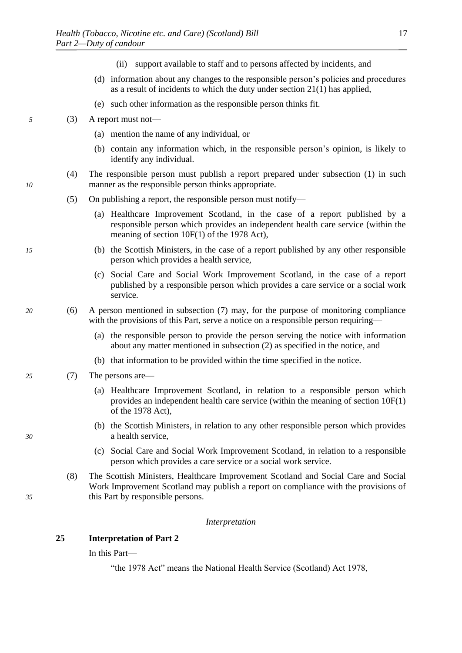- (ii) support available to staff and to persons affected by incidents, and
- (d) information about any changes to the responsible person's policies and procedures as a result of incidents to which the duty under section [21\(1\)](#page-15-0) has applied,
- (e) such other information as the responsible person thinks fit.
- <span id="page-18-0"></span>*5* (3) A report must not—
	- (a) mention the name of any individual, or
	- (b) contain any information which, in the responsible person's opinion, is likely to identify any individual.
- (4) The responsible person must publish a report prepared under subsection [\(1\)](#page-17-0) in such *10* manner as the responsible person thinks appropriate.
	- (5) On publishing a report, the responsible person must notify—
		- (a) Healthcare Improvement Scotland, in the case of a report published by a responsible person which provides an independent health care service (within the meaning of section 10F(1) of the 1978 Act),
- *15* (b) the Scottish Ministers, in the case of a report published by any other responsible person which provides a health service,
	- (c) Social Care and Social Work Improvement Scotland, in the case of a report published by a responsible person which provides a care service or a social work service.
- *20* (6) A person mentioned in subsection [\(7\)](#page-18-0) may, for the purpose of monitoring compliance with the provisions of this Part, serve a notice on a responsible person requiring—
	- (a) the responsible person to provide the person serving the notice with information about any matter mentioned in subsection [\(2\)](#page-17-0) as specified in the notice, and
	- (b) that information to be provided within the time specified in the notice.
- *25* (7) The persons are—
	- (a) Healthcare Improvement Scotland, in relation to a responsible person which provides an independent health care service (within the meaning of section 10F(1) of the 1978 Act),
- (b) the Scottish Ministers, in relation to any other responsible person which provides *30* a health service,
	- (c) Social Care and Social Work Improvement Scotland, in relation to a responsible person which provides a care service or a social work service.
- (8) The Scottish Ministers, Healthcare Improvement Scotland and Social Care and Social Work Improvement Scotland may publish a report on compliance with the provisions of *35* this Part by responsible persons.

#### *Interpretation*

# **25 Interpretation of Part [2](#page-15-0)**

In this Part—

"the 1978 Act" means the National Health Service (Scotland) Act 1978,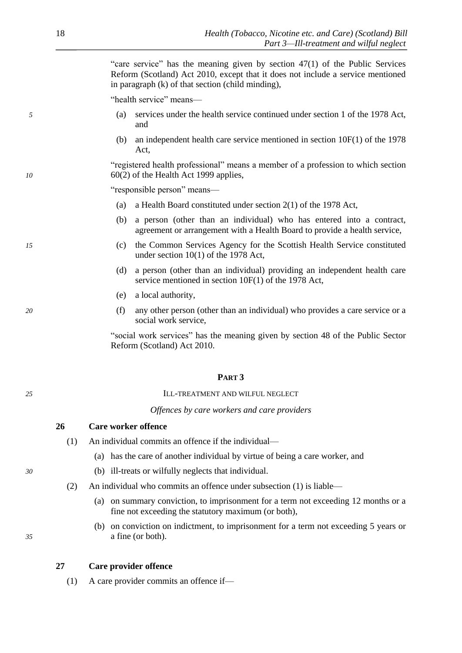"care service" has the meaning given by section 47(1) of the Public Services Reform (Scotland) Act 2010, except that it does not include a service mentioned in paragraph (k) of that section (child minding),

"health service" means—

- <span id="page-19-0"></span>*5* (a) services under the health service continued under section 1 of the 1978 Act, and
	- (b) an independent health care service mentioned in section 10F(1) of the 1978 Act,

"registered health professional" means a member of a profession to which section *10* 60(2) of the Health Act 1999 applies,

"responsible person" means—

- (a) a Health Board constituted under section 2(1) of the 1978 Act,
- (b) a person (other than an individual) who has entered into a contract, agreement or arrangement with a Health Board to provide a health service,
- *15* (c) the Common Services Agency for the Scottish Health Service constituted under section 10(1) of the 1978 Act,
	- (d) a person (other than an individual) providing an independent health care service mentioned in section 10F(1) of the 1978 Act,
	- (e) a local authority,
- *20* (f) any other person (other than an individual) who provides a care service or a social work service,

"social work services" has the meaning given by section 48 of the Public Sector Reform (Scotland) Act 2010.

# **PART 3**

*25* ILL-TREATMENT AND WILFUL NEGLECT

*Offences by care workers and care providers*

# **26 Care worker offence**

- (1) An individual commits an offence if the individual—
	- (a) has the care of another individual by virtue of being a care worker, and
- *30* (b) ill-treats or wilfully neglects that individual.
	- (2) An individual who commits an offence under subsection [\(1\)](#page-19-0) is liable—
		- (a) on summary conviction, to imprisonment for a term not exceeding 12 months or a fine not exceeding the statutory maximum (or both),
- (b) on conviction on indictment, to imprisonment for a term not exceeding 5 years or *35* a fine (or both).

### **27 Care provider offence**

(1) A care provider commits an offence if—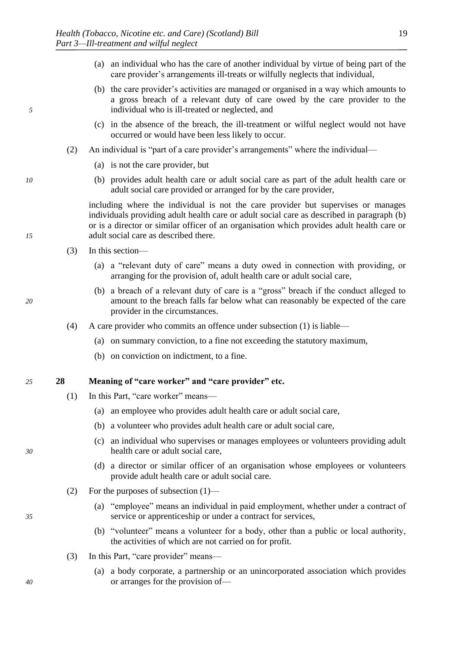- (a) an individual who has the care of another individual by virtue of being part of the care provider's arrangements ill-treats or wilfully neglects that individual,
- <span id="page-20-0"></span>(b) the care provider's activities are managed or organised in a way which amounts to a gross breach of a relevant duty of care owed by the care provider to the *5* individual who is ill-treated or neglected, and
	- (c) in the absence of the breach, the ill-treatment or wilful neglect would not have occurred or would have been less likely to occur.
	- (2) An individual is "part of a care provider's arrangements" where the individual—
		- (a) is not the care provider, but
- *10* (b) provides adult health care or adult social care as part of the adult health care or adult social care provided or arranged for by the care provider,

including where the individual is not the care provider but supervises or manages individuals providing adult health care or adult social care as described in paragraph [\(b\)](#page-20-0) or is a director or similar officer of an organisation which provides adult health care or *15* adult social care as described there.

- (3) In this section—
	- (a) a "relevant duty of care" means a duty owed in connection with providing, or arranging for the provision of, adult health care or adult social care,
- (b) a breach of a relevant duty of care is a "gross" breach if the conduct alleged to *20* amount to the breach falls far below what can reasonably be expected of the care provider in the circumstances.
	- (4) A care provider who commits an offence under subsection [\(1\)](#page-19-0) is liable—
		- (a) on summary conviction, to a fine not exceeding the statutory maximum,
		- (b) on conviction on indictment, to a fine.

#### *25* **28 Meaning of "care worker" and "care provider" etc.**

- (1) In this Part, "care worker" means—
	- (a) an employee who provides adult health care or adult social care,
	- (b) a volunteer who provides adult health care or adult social care,
- (c) an individual who supervises or manages employees or volunteers providing adult *30* health care or adult social care,
	- (d) a director or similar officer of an organisation whose employees or volunteers provide adult health care or adult social care.
	- (2) For the purposes of subsection [\(1\)—](#page-20-0)
- (a) "employee" means an individual in paid employment, whether under a contract of *35* service or apprenticeship or under a contract for services,
	- (b) "volunteer" means a volunteer for a body, other than a public or local authority, the activities of which are not carried on for profit.
	- (3) In this Part, "care provider" means—
- (a) a body corporate, a partnership or an unincorporated association which provides *40* or arranges for the provision of—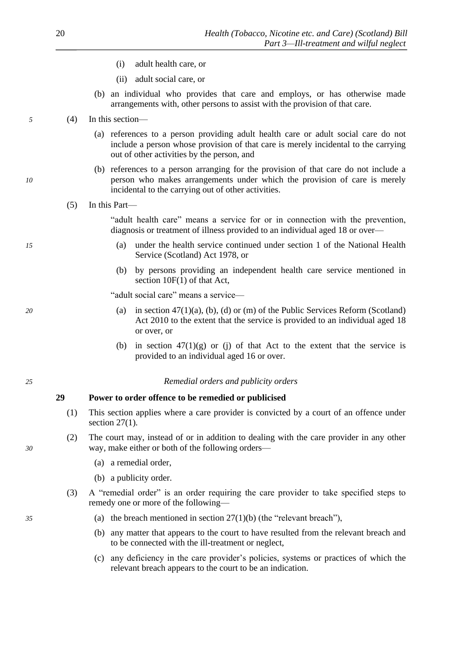- (i) adult health care, or
- (ii) adult social care, or
- (b) an individual who provides that care and employs, or has otherwise made arrangements with, other persons to assist with the provision of that care.
- <span id="page-21-0"></span>*5* (4) In this section—
	- (a) references to a person providing adult health care or adult social care do not include a person whose provision of that care is merely incidental to the carrying out of other activities by the person, and
- (b) references to a person arranging for the provision of that care do not include a *10* person who makes arrangements under which the provision of care is merely incidental to the carrying out of other activities.
	- (5) In this Part—

"adult health care" means a service for or in connection with the prevention, diagnosis or treatment of illness provided to an individual aged 18 or over—

- *15* (a) under the health service continued under section 1 of the National Health Service (Scotland) Act 1978, or
	- (b) by persons providing an independent health care service mentioned in section  $10F(1)$  of that Act,

"adult social care" means a service—

- *20* (a) in section 47(1)(a), (b), (d) or (m) of the Public Services Reform (Scotland) Act 2010 to the extent that the service is provided to an individual aged 18 or over, or
	- (b) in section  $47(1)(g)$  or (j) of that Act to the extent that the service is provided to an individual aged 16 or over.

# *25 Remedial orders and publicity orders*

# **29 Power to order offence to be remedied or publicised**

- (1) This section applies where a care provider is convicted by a court of an offence under section [27\(1\).](#page-19-0)
- (2) The court may, instead of or in addition to dealing with the care provider in any other *30* way, make either or both of the following orders—
	- (a) a remedial order,
	- (b) a publicity order.
	- (3) A "remedial order" is an order requiring the care provider to take specified steps to remedy one or more of the following—
- *35* (a) the breach mentioned in section [27\(1\)](#page-19-0)[\(b\)](#page-20-0) (the "relevant breach"),
	- (b) any matter that appears to the court to have resulted from the relevant breach and to be connected with the ill-treatment or neglect,
	- (c) any deficiency in the care provider's policies, systems or practices of which the relevant breach appears to the court to be an indication.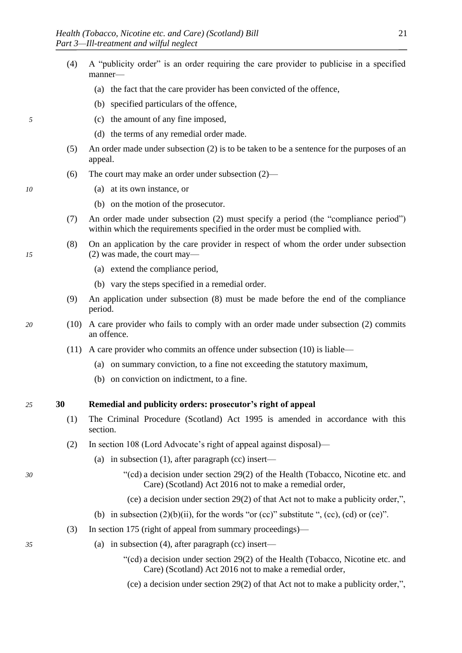- <span id="page-22-0"></span>(4) A "publicity order" is an order requiring the care provider to publicise in a specified manner—
	- (a) the fact that the care provider has been convicted of the offence,
	- (b) specified particulars of the offence,
- *5* (c) the amount of any fine imposed,
	- (d) the terms of any remedial order made.
	- (5) An order made under subsection [\(2\)](#page-21-0) is to be taken to be a sentence for the purposes of an appeal.
	- (6) The court may make an order under subsection [\(2\)—](#page-21-0)
- *10* (a) at its own instance, or
	- (b) on the motion of the prosecutor.
	- (7) An order made under subsection [\(2\)](#page-21-0) must specify a period (the "compliance period") within which the requirements specified in the order must be complied with.
- (8) On an application by the care provider in respect of whom the order under subsection *15* [\(2\)](#page-21-0) was made, the court may—
	- (a) extend the compliance period,
	- (b) vary the steps specified in a remedial order.
	- (9) An application under subsection [\(8\)](#page-22-0) must be made before the end of the compliance period.
- *20* (10) A care provider who fails to comply with an order made under subsection [\(2\)](#page-21-0) commits an offence.
	- (11) A care provider who commits an offence under subsection [\(10\)](#page-22-0) is liable—
		- (a) on summary conviction, to a fine not exceeding the statutory maximum,
		- (b) on conviction on indictment, to a fine.

### *25* **30 Remedial and publicity orders: prosecutor's right of appeal**

- (1) The Criminal Procedure (Scotland) Act 1995 is amended in accordance with this section.
- (2) In section 108 (Lord Advocate's right of appeal against disposal)—
	- (a) in subsection (1), after paragraph (cc) insert—
- *30* "(cd) a decision under section [29\(2\)](#page-21-0) of the Health (Tobacco, Nicotine etc. and Care) (Scotland) Act 2016 not to make a remedial order,
	- (ce) a decision under section [29\(2\)](#page-21-0) of that Act not to make a publicity order,",
	- (b) in subsection  $(2)(b)(ii)$ , for the words "or (cc)" substitute ", (cc), (cd) or (ce)".
	- (3) In section 175 (right of appeal from summary proceedings)—
- *35* (a) in subsection (4), after paragraph (cc) insert—
	- "(cd) a decision under section [29\(2\)](#page-21-0) of the Health (Tobacco, Nicotine etc. and Care) (Scotland) Act 2016 not to make a remedial order,
	- (ce) a decision under section [29\(2\)](#page-21-0) of that Act not to make a publicity order,",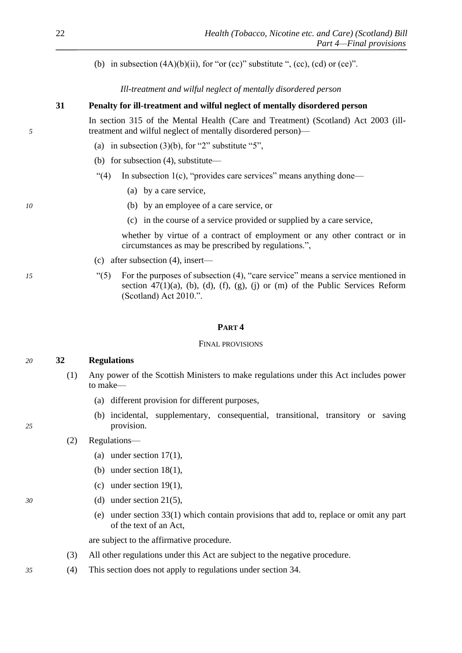<span id="page-23-0"></span>(b) in subsection  $(4A)(b)(ii)$ , for "or (cc)" substitute ", (cc), (cd) or (ce)".

*Ill-treatment and wilful neglect of mentally disordered person*

# **31 Penalty for ill-treatment and wilful neglect of mentally disordered person**

In section 315 of the Mental Health (Care and Treatment) (Scotland) Act 2003 (ill-*5* treatment and wilful neglect of mentally disordered person)—

- (a) in subsection  $(3)(b)$ , for "2" substitute "5",
- (b) for subsection (4), substitute—
- "(4) In subsection 1(c), "provides care services" means anything done—
	- (a) by a care service,
- *10* (b) by an employee of a care service, or
	- (c) in the course of a service provided or supplied by a care service,

whether by virtue of a contract of employment or any other contract or in circumstances as may be prescribed by regulations.",

- (c) after subsection (4), insert—
- *15* "(5) For the purposes of subsection (4), "care service" means a service mentioned in section  $47(1)(a)$ , (b), (d), (f), (g), (j) or (m) of the Public Services Reform (Scotland) Act 2010.".

## **PART 4**

#### FINAL PROVISIONS

# *20* **32 Regulations**

- (1) Any power of the Scottish Ministers to make regulations under this Act includes power to make—
	- (a) different provision for different purposes,
- (b) incidental, supplementary, consequential, transitional, transitory or saving *25* provision.
	- (2) Regulations—
		- (a) under section  $17(1)$ ,
		- (b) under section [18\(1\),](#page-11-0)
		- (c) under section  $19(1)$ ,
- *30* (d) under section [21\(5\),](#page-15-0)
	- (e) under section [33\(1\)](#page-24-0) which contain provisions that add to, replace or omit any part of the text of an Act,

are subject to the affirmative procedure.

- (3) All other regulations under this Act are subject to the negative procedure.
- *35* (4) This section does not apply to regulations under section [34.](#page-24-0)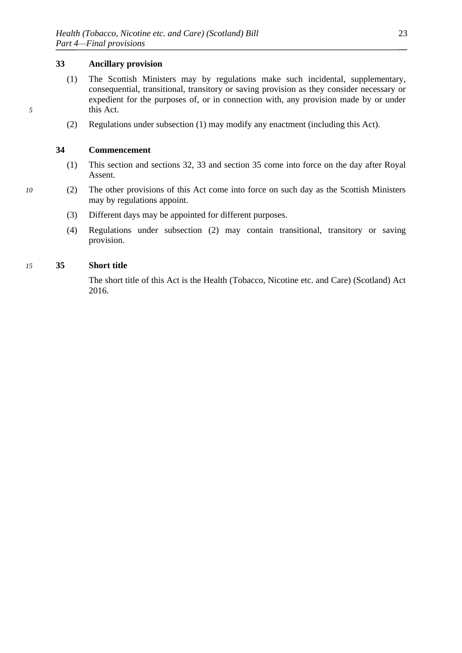# **33 Ancillary provision**

- <span id="page-24-0"></span>(1) The Scottish Ministers may by regulations make such incidental, supplementary, consequential, transitional, transitory or saving provision as they consider necessary or expedient for the purposes of, or in connection with, any provision made by or under *5* this Act.
	- (2) Regulations under subsection [\(1\)](#page-24-0) may modify any enactment (including this Act).

# **34 Commencement**

- (1) This section and sections [32,](#page-23-0) [33](#page-24-0) and section [35](#page-24-0) come into force on the day after Royal Assent.
- *10* (2) The other provisions of this Act come into force on such day as the Scottish Ministers may by regulations appoint.
	- (3) Different days may be appointed for different purposes.
	- (4) Regulations under subsection [\(2\)](#page-24-0) may contain transitional, transitory or saving provision.

#### *15* **35 Short title**

The short title of this Act is the Health (Tobacco, Nicotine etc. and Care) (Scotland) Act 2016.